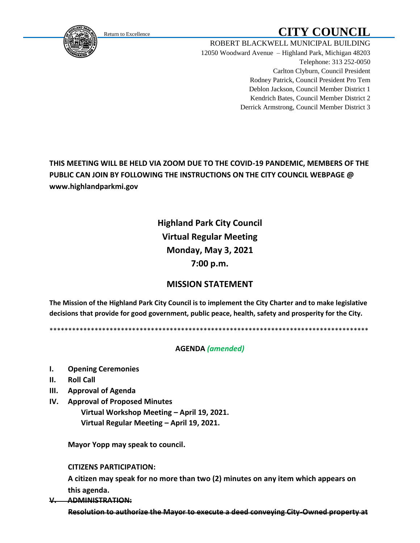<span id="page-0-0"></span>

# Return to Excellence **CITY COUNCIL**

ROBERT BLACKWELL MUNICIPAL BUILDING 12050 Woodward Avenue – Highland Park, Michigan 48203 Telephone: 313 252-0050 Carlton Clyburn, Council President Rodney Patrick, Council President Pro Tem Deblon Jackson, Council Member District 1 Kendrich Bates, Council Member District 2 Derrick Armstrong, Council Member District 3

## **THIS MEETING WILL BE HELD VIA ZOOM DUE TO THE COVID-19 PANDEMIC, MEMBERS OF THE PUBLIC CAN JOIN BY FOLLOWING THE INSTRUCTIONS ON THE CITY COUNCIL WEBPAGE @ www.highlandparkmi.gov**

## **Highland Park City Council Virtual Regular Meeting Monday, May 3, 2021 7:00 p.m.**

### **MISSION STATEMENT**

**The Mission of the Highland Park City Council is to implement the City Charter and to make legislative decisions that provide for good government, public peace, health, safety and prosperity for the City.**

\*\*\*\*\*\*\*\*\*\*\*\*\*\*\*\*\*\*\*\*\*\*\*\*\*\*\*\*\*\*\*\*\*\*\*\*\*\*\*\*\*\*\*\*\*\*\*\*\*\*\*\*\*\*\*\*\*\*\*\*\*\*\*\*\*\*\*\*\*\*\*\*\*\*\*\*\*\*\*\*\*\*\*\*\*

#### **AGENDA** *(amended)*

- **I. Opening Ceremonies**
- **II. Roll Call**
- **III. Approval of Agenda**
- **IV. Approval of Proposed Minutes Virtual Workshop Meeting – April 19, 2021. Virtual Regular Meeting – April 19, 2021.**

 **Mayor Yopp may speak to council.** 

#### **CITIZENS PARTICIPATION:**

 **A citizen may speak for no more than two (2) minutes on any item which appears on this agenda.**

**V. ADMINISTRATION:**

 **Resolution to authorize the Mayor to execute a deed conveying City-Owned property at**